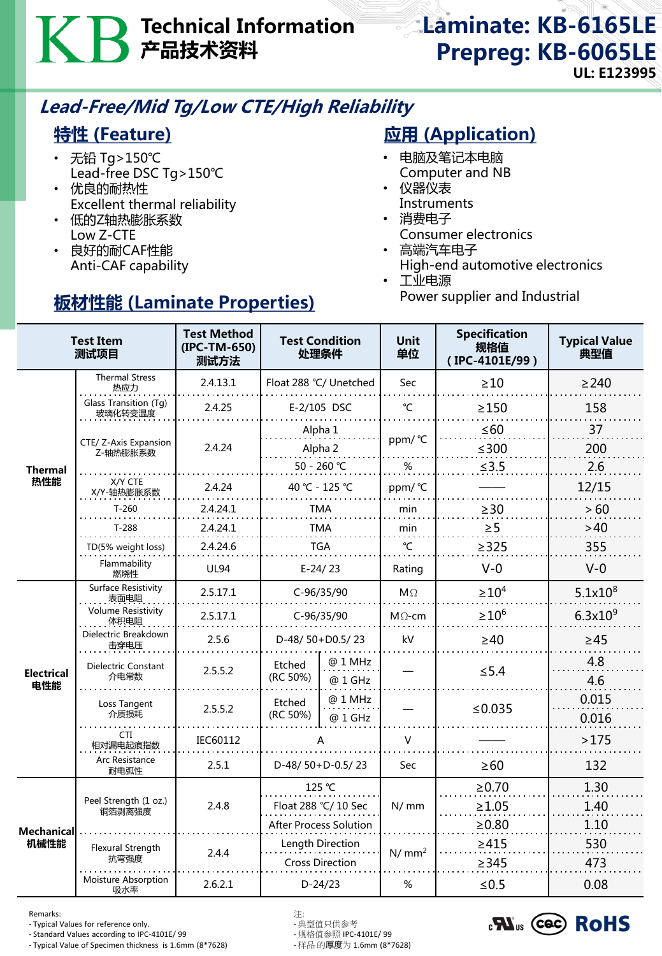# Technical Information 产品技术资料

## Laminate: KB-6165LE Prepreg: KB-6065LE UL: E123995

## Lead-Free/Mid Tg/Low CTE/High Reliability

## 特性 (Feature)

- 无铅 Tg>150℃ Lead-free DSC Tg>150℃
- 优良的耐热性 Excellent thermal reliability
- 低的Z轴热膨胀系数 Low Z-CTE
- 良好的耐CAF性能 Anti-CAF capability

## 板材性能 (Laminate Properties)

## **应用 (Application)**

- 电脑及笔记本电脑 Computer and NB
- 仪器仪表 **Instruments**
- 消费电子 Consumer electronics
- 高端汽车电子 High-end automotive electronics
- 工业电源 Power supplier and Industrial

| <b>Test Item</b><br>测试项目  |                                            | <b>Test Method</b><br>(IPC-TM-650)<br>测试方法 | <b>Test Condition</b><br>处理条件  |                    | <b>Unit</b><br>单位 | <b>Specification</b><br>规格值<br>(IPC-4101E/99) | <b>Typical Value</b><br>典型值 |
|---------------------------|--------------------------------------------|--------------------------------------------|--------------------------------|--------------------|-------------------|-----------------------------------------------|-----------------------------|
| <b>Thermal</b><br>热性能     | <b>Thermal Stress</b><br>热应力               | 2.4.13.1                                   | Float 288 °C/ Unetched         |                    | Sec               | $\geq 10$                                     | $\geq$ 240                  |
|                           | Glass Transition (Tg)<br>2.4.25<br>玻璃化转变温度 |                                            | E-2/105 DSC                    |                    | $\mathrm{C}$      | $\geq$ 150                                    | 158                         |
|                           | CTE/ Z-Axis Expansion<br>Z-轴热膨胀系数          | 2.4.24                                     | Alpha 1                        |                    | ppm/°C            | $\leq 60$                                     | 37                          |
|                           |                                            |                                            | Alpha 2                        |                    |                   | $≤300$                                        | 200                         |
|                           |                                            |                                            | 50 - 260 ℃                     |                    | $\%$              | ≤3.5                                          | 2.6                         |
|                           | X/Y CTE<br>X/Y-轴热膨胀系数                      | 2.4.24                                     | 40 °C - 125 °C                 |                    | ppm/°C            |                                               | 12/15                       |
|                           | $T-260$                                    | 2.4.24.1                                   | TMA                            |                    | min               | $\geq$ 30                                     | > 60                        |
|                           | $T-288$                                    | 2.4.24.1                                   | <b>TMA</b>                     |                    | min               | $\geq 5$                                      | >40                         |
|                           | TD(5% weight loss)                         | 2.4.24.6                                   | <b>TGA</b>                     |                    | °C                | $\geq$ 325                                    | 355                         |
|                           | Flammability<br>燃烧性                        | <b>UL94</b>                                | $E-24/23$                      |                    | Rating            | $V-0$                                         | $V-0$                       |
| Electrical<br>电性能         | Surface Resistivity<br>表面电阻                | 2.5.17.1                                   | C-96/35/90                     |                    | $M\Omega$         | $\geq 10^4$                                   | $5.1x10^{8}$                |
|                           | <b>Volume Resistivity</b><br>体积电阻          | 2.5.17.1                                   | C-96/35/90                     |                    | $M\Omega$ -cm     | $\geq$ 10 <sup>6</sup>                        | $6.3x10^{9}$                |
|                           | Dielectric Breakdown<br>击穿电压               | 2.5.6                                      | D-48/50+D0.5/23                |                    | kV                | $\geq 40$                                     | $\geq 45$                   |
|                           | Dielectric Constant<br>介电常数                | 2.5.5.2                                    | Etched<br>(RC 50%)             | @ 1 MHz<br>@ 1 GHz |                   | $\leq 5.4$                                    | 4.8<br>4.6                  |
|                           | Loss Tangent<br>介质损耗                       | 2.5.5.2                                    | Etched<br>(RC 50%)             | @ 1 MHz<br>@ 1 GHz |                   | ≤ $0.035$                                     | 0.015<br>0.016              |
|                           | CTI<br>相对漏电起痕指数                            | IEC60112                                   | А                              |                    | V                 |                                               | >175                        |
|                           | Arc Resistance<br>耐电弧性                     | 2.5.1                                      | D-48/50+D-0.5/23               |                    | Sec               | $\geq 60$                                     | 132                         |
| <b>Mechanical</b><br>机械性能 | Peel Strength (1 oz.)<br>铜箔剥离强度            | 2.4.8                                      | 125 °C<br>Float 288 °C/ 10 Sec |                    | N/mm              | $\ge 0.70$                                    | 1.30                        |
|                           |                                            |                                            |                                |                    |                   | $\geq 1.05$                                   | 1.40                        |
|                           |                                            |                                            | <b>After Process Solution</b>  |                    |                   | $\geq 0.80$                                   | 1.10                        |
|                           | Flexural Strength<br>抗弯强度                  | 2.4.4                                      | Length Direction               |                    | N/mm <sup>2</sup> | $\geq 415$                                    | 530                         |
|                           |                                            |                                            | <b>Cross Direction</b>         |                    |                   | $\geq$ 345                                    | 473                         |
|                           | Moisture Absorption<br>吸水率                 | 2.6.2.1                                    | $D-24/23$                      |                    | %                 | $≤ 0.5$                                       | 0.08                        |

Remarks: 注:

- Typical Values for reference only.<br>- Standard Values according to IPC-4101E/ 99 - 规格值参照 IPC-4101E/ 99

- Standard Values according to IPC-4101E/ 99 - 规格值参照 IPC-4101E/ 99 - Typical Value of Specimen thickness is 1.6mm (8\*7628)